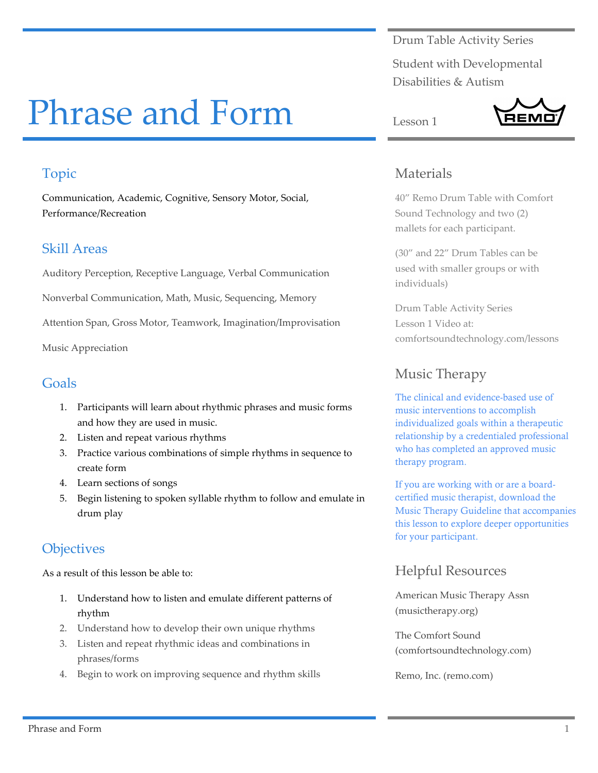Drum Table Activity Series

Student with Developmental Disabilities & Autism

**REMO** 

# Phrase and Form

## Topic

Communication, Academic, Cognitive, Sensory Motor, Social, Performance/Recreation

#### Skill Areas

Auditory Perception, Receptive Language, Verbal Communication

Nonverbal Communication, Math, Music, Sequencing, Memory

Attention Span, Gross Motor, Teamwork, Imagination/Improvisation

Music Appreciation

#### Goals

- 1. Participants will learn about rhythmic phrases and music forms and how they are used in music.
- 2. Listen and repeat various rhythms
- 3. Practice various combinations of simple rhythms in sequence to create form
- 4. Learn sections of songs
- 5. Begin listening to spoken syllable rhythm to follow and emulate in drum play

# **Objectives**

As a result of this lesson be able to:

- 1. Understand how to listen and emulate different patterns of rhythm
- 2. Understand how to develop their own unique rhythms
- 3. Listen and repeat rhythmic ideas and combinations in phrases/forms
- 4. Begin to work on improving sequence and rhythm skills

### Materials

Lesson 1

40" Remo Drum Table with Comfort Sound Technology and two (2) mallets for each participant.

(30" and 22" Drum Tables can be used with smaller groups or with individuals)

Drum Table Activity Series Lesson 1 Video at: comfortsoundtechnology.com/lessons

# Music Therapy

The clinical and evidence-based use of music interventions to accomplish individualized goals within a therapeutic relationship by a credentialed professional who has completed an approved music therapy program.

If you are working with or are a boardcertified music therapist, download the Music Therapy Guideline that accompanies this lesson to explore deeper opportunities for your participant.

# Helpful Resources

American Music Therapy Assn (musictherapy.org)

The Comfort Sound (comfortsoundtechnology.com)

Remo, Inc. (remo.com)